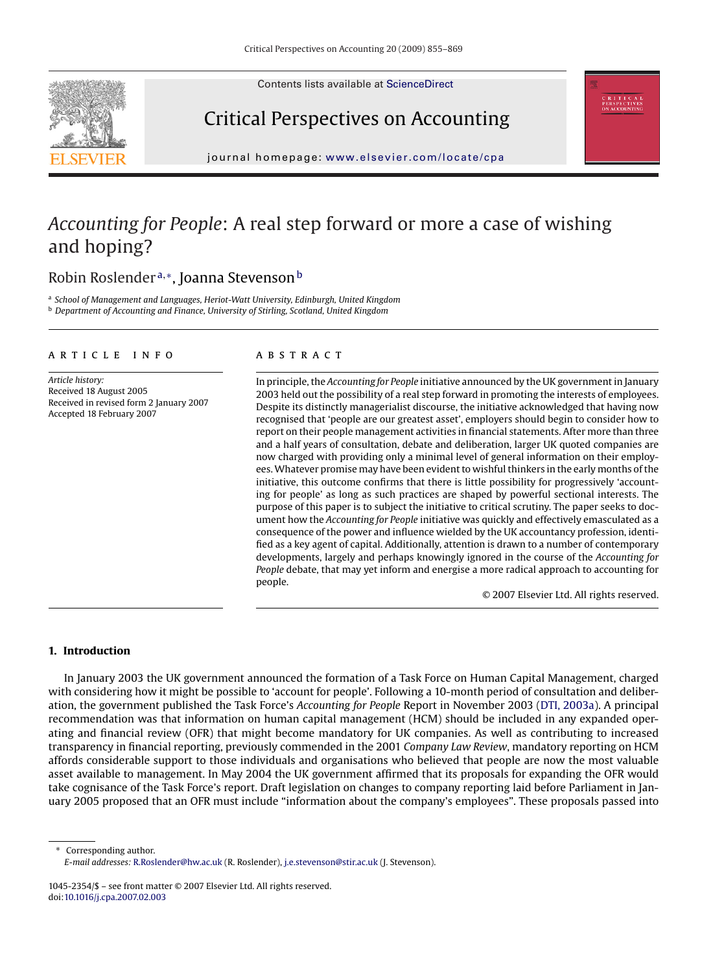Contents lists available at [ScienceDirect](http://www.sciencedirect.com/science/journal/10452354)





### Critical Perspectives on Accounting

journal homepage: [www.elsevier.com/locate/cpa](http://www.elsevier.com/locate/cpa)

## *Accounting for People*: A real step forward or more a case of wishing and hoping?

### Robin Roslender<sup>a,∗</sup>, Joanna Stevenson<sup>b</sup>

<sup>a</sup> *School of Management and Languages, Heriot-Watt University, Edinburgh, United Kingdom*

<sup>b</sup> *Department of Accounting and Finance, University of Stirling, Scotland, United Kingdom*

#### article info

*Article history:* Received 18 August 2005 Received in revised form 2 January 2007 Accepted 18 February 2007

#### **ABSTRACT**

In principle, the *Accounting for People* initiative announced by the UK government in January 2003 held out the possibility of a real step forward in promoting the interests of employees. Despite its distinctly managerialist discourse, the initiative acknowledged that having now recognised that 'people are our greatest asset', employers should begin to consider how to report on their people management activities in financial statements. After more than three and a half years of consultation, debate and deliberation, larger UK quoted companies are now charged with providing only a minimal level of general information on their employees.Whatever promise may have been evident to wishful thinkers in the early months of the initiative, this outcome confirms that there is little possibility for progressively 'accounting for people' as long as such practices are shaped by powerful sectional interests. The purpose of this paper is to subject the initiative to critical scrutiny. The paper seeks to document how the *Accounting for People* initiative was quickly and effectively emasculated as a consequence of the power and influence wielded by the UK accountancy profession, identified as a key agent of capital. Additionally, attention is drawn to a number of contemporary developments, largely and perhaps knowingly ignored in the course of the *Accounting for People* debate, that may yet inform and energise a more radical approach to accounting for people.

© 2007 Elsevier Ltd. All rights reserved.

#### **1. Introduction**

In January 2003 the UK government announced the formation of a Task Force on Human Capital Management, charged with considering how it might be possible to 'account for people'. Following a 10-month period of consultation and deliberation, the government published the Task Force's *Accounting for People* Report in November 2003 ([DTI, 2003a\).](#page--1-0) A principal recommendation was that information on human capital management (HCM) should be included in any expanded operating and financial review (OFR) that might become mandatory for UK companies. As well as contributing to increased transparency in financial reporting, previously commended in the 2001 *Company Law Review*, mandatory reporting on HCM affords considerable support to those individuals and organisations who believed that people are now the most valuable asset available to management. In May 2004 the UK government affirmed that its proposals for expanding the OFR would take cognisance of the Task Force's report. Draft legislation on changes to company reporting laid before Parliament in January 2005 proposed that an OFR must include "information about the company's employees". These proposals passed into

Corresponding author.

1045-2354/\$ – see front matter © 2007 Elsevier Ltd. All rights reserved. doi:[10.1016/j.cpa.2007.02.003](dx.doi.org/10.1016/j.cpa.2007.02.003)

*E-mail addresses:* [R.Roslender@hw.ac.uk](mailto:R.Roslender@hw.ac.uk) (R. Roslender), [j.e.stevenson@stir.ac.uk](mailto:j.e.stevenson@stir.ac.uk) (J. Stevenson).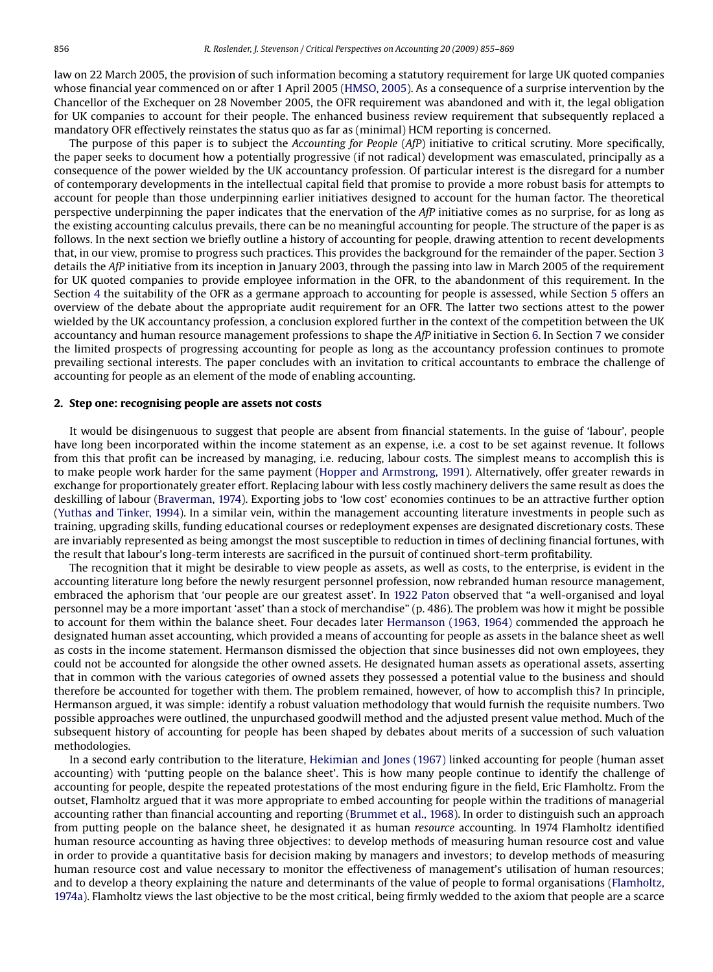law on 22 March 2005, the provision of such information becoming a statutory requirement for large UK quoted companies whose financial year commenced on or after 1 April 2005 [\(HMSO, 2005\).](#page--1-0) As a consequence of a surprise intervention by the Chancellor of the Exchequer on 28 November 2005, the OFR requirement was abandoned and with it, the legal obligation for UK companies to account for their people. The enhanced business review requirement that subsequently replaced a mandatory OFR effectively reinstates the status quo as far as (minimal) HCM reporting is concerned.

The purpose of this paper is to subject the *Accounting for People* (*AfP*) initiative to critical scrutiny. More specifically, the paper seeks to document how a potentially progressive (if not radical) development was emasculated, principally as a consequence of the power wielded by the UK accountancy profession. Of particular interest is the disregard for a number of contemporary developments in the intellectual capital field that promise to provide a more robust basis for attempts to account for people than those underpinning earlier initiatives designed to account for the human factor. The theoretical perspective underpinning the paper indicates that the enervation of the *AfP* initiative comes as no surprise, for as long as the existing accounting calculus prevails, there can be no meaningful accounting for people. The structure of the paper is as follows. In the next section we briefly outline a history of accounting for people, drawing attention to recent developments that, in our view, promise to progress such practices. This provides the background for the remainder of the paper. Section [3](#page--1-0) details the *AfP* initiative from its inception in January 2003, through the passing into law in March 2005 of the requirement for UK quoted companies to provide employee information in the OFR, to the abandonment of this requirement. In the Section [4](#page--1-0) the suitability of the OFR as a germane approach to accounting for people is assessed, while Section [5](#page--1-0) offers an overview of the debate about the appropriate audit requirement for an OFR. The latter two sections attest to the power wielded by the UK accountancy profession, a conclusion explored further in the context of the competition between the UK accountancy and human resource management professions to shape the *AfP* initiative in Section [6. I](#page--1-0)n Section [7](#page--1-0) we consider the limited prospects of progressing accounting for people as long as the accountancy profession continues to promote prevailing sectional interests. The paper concludes with an invitation to critical accountants to embrace the challenge of accounting for people as an element of the mode of enabling accounting.

#### **2. Step one: recognising people are assets not costs**

It would be disingenuous to suggest that people are absent from financial statements. In the guise of 'labour', people have long been incorporated within the income statement as an expense, i.e. a cost to be set against revenue. It follows from this that profit can be increased by managing, i.e. reducing, labour costs. The simplest means to accomplish this is to make people work harder for the same payment ([Hopper and Armstrong, 1991\).](#page--1-0) Alternatively, offer greater rewards in exchange for proportionately greater effort. Replacing labour with less costly machinery delivers the same result as does the deskilling of labour ([Braverman, 1974\).](#page--1-0) Exporting jobs to 'low cost' economies continues to be an attractive further option [\(Yuthas and Tinker, 1994\).](#page--1-0) In a similar vein, within the management accounting literature investments in people such as training, upgrading skills, funding educational courses or redeployment expenses are designated discretionary costs. These are invariably represented as being amongst the most susceptible to reduction in times of declining financial fortunes, with the result that labour's long-term interests are sacrificed in the pursuit of continued short-term profitability.

The recognition that it might be desirable to view people as assets, as well as costs, to the enterprise, is evident in the accounting literature long before the newly resurgent personnel profession, now rebranded human resource management, embraced the aphorism that 'our people are our greatest asset'. In [1922 Paton](#page--1-0) observed that "a well-organised and loyal personnel may be a more important 'asset' than a stock of merchandise" (p. 486). The problem was how it might be possible to account for them within the balance sheet. Four decades later [Hermanson \(1963, 1964\)](#page--1-0) commended the approach he designated human asset accounting, which provided a means of accounting for people as assets in the balance sheet as well as costs in the income statement. Hermanson dismissed the objection that since businesses did not own employees, they could not be accounted for alongside the other owned assets. He designated human assets as operational assets, asserting that in common with the various categories of owned assets they possessed a potential value to the business and should therefore be accounted for together with them. The problem remained, however, of how to accomplish this? In principle, Hermanson argued, it was simple: identify a robust valuation methodology that would furnish the requisite numbers. Two possible approaches were outlined, the unpurchased goodwill method and the adjusted present value method. Much of the subsequent history of accounting for people has been shaped by debates about merits of a succession of such valuation methodologies.

In a second early contribution to the literature, [Hekimian and Jones \(1967\)](#page--1-0) linked accounting for people (human asset accounting) with 'putting people on the balance sheet'. This is how many people continue to identify the challenge of accounting for people, despite the repeated protestations of the most enduring figure in the field, Eric Flamholtz. From the outset, Flamholtz argued that it was more appropriate to embed accounting for people within the traditions of managerial accounting rather than financial accounting and reporting [\(Brummet et al., 1968\).](#page--1-0) In order to distinguish such an approach from putting people on the balance sheet, he designated it as human *resource* accounting. In 1974 Flamholtz identified human resource accounting as having three objectives: to develop methods of measuring human resource cost and value in order to provide a quantitative basis for decision making by managers and investors; to develop methods of measuring human resource cost and value necessary to monitor the effectiveness of management's utilisation of human resources; and to develop a theory explaining the nature and determinants of the value of people to formal organisations [\(Flamholtz,](#page--1-0) [1974a\).](#page--1-0) Flamholtz views the last objective to be the most critical, being firmly wedded to the axiom that people are a scarce